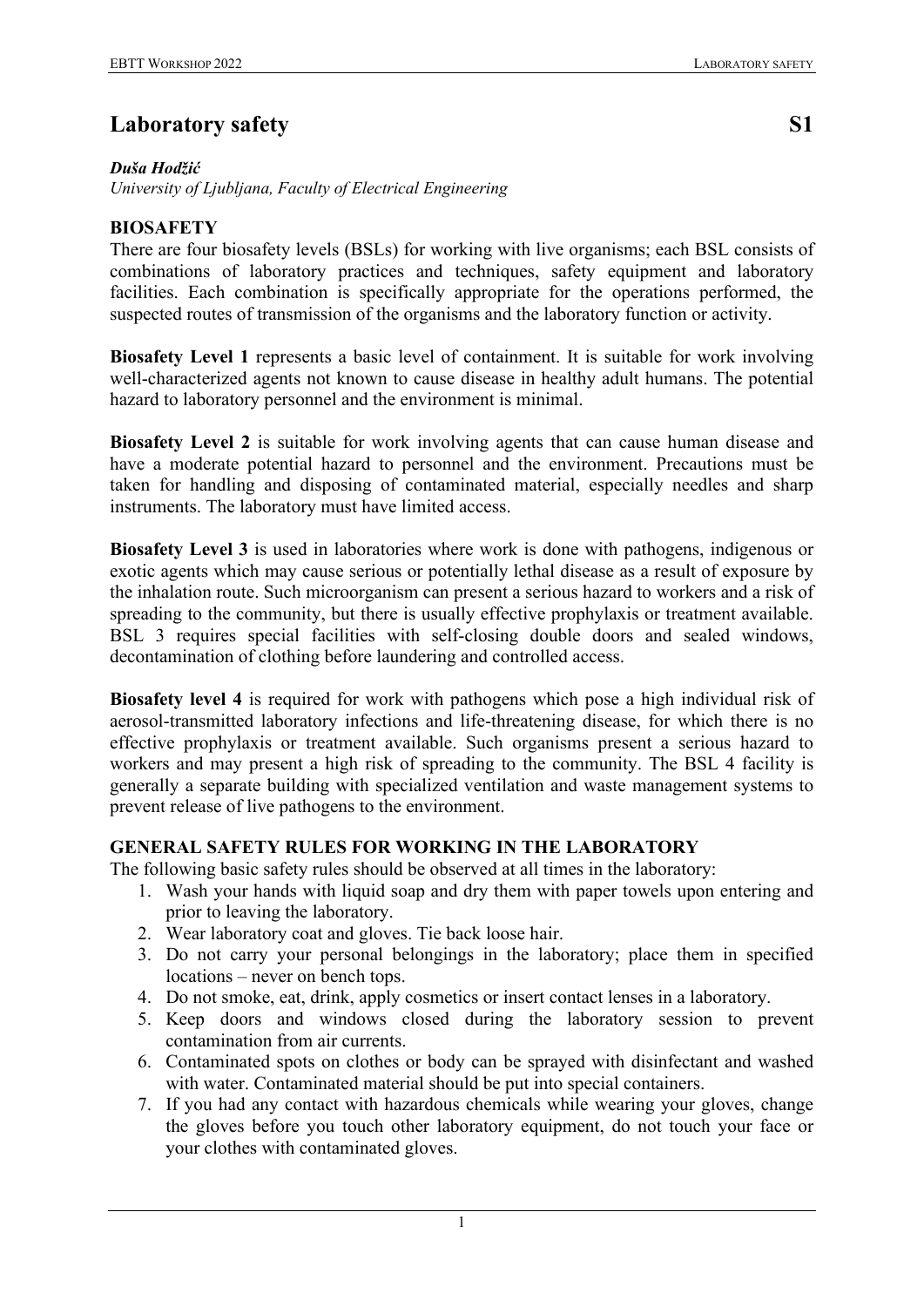## *Duša Hodžić*

*University of Ljubljana, Faculty of Electrical Engineering*

# **BIOSAFETY**

There are four biosafety levels (BSLs) for working with live organisms; each BSL consists of combinations of laboratory practices and techniques, safety equipment and laboratory facilities. Each combination is specifically appropriate for the operations performed, the suspected routes of transmission of the organisms and the laboratory function or activity.

**Biosafety Level 1** represents a basic level of containment. It is suitable for work involving well-characterized agents not known to cause disease in healthy adult humans. The potential hazard to laboratory personnel and the environment is minimal.

**Biosafety Level 2** is suitable for work involving agents that can cause human disease and have a moderate potential hazard to personnel and the environment. Precautions must be taken for handling and disposing of contaminated material, especially needles and sharp instruments. The laboratory must have limited access.

**Biosafety Level 3** is used in laboratories where work is done with pathogens, indigenous or exotic agents which may cause serious or potentially lethal disease as a result of exposure by the inhalation route. Such microorganism can present a serious hazard to workers and a risk of spreading to the community, but there is usually effective prophylaxis or treatment available. BSL 3 requires special facilities with self-closing double doors and sealed windows, decontamination of clothing before laundering and controlled access.

**Biosafety level 4** is required for work with pathogens which pose a high individual risk of aerosol-transmitted laboratory infections and life-threatening disease, for which there is no effective prophylaxis or treatment available. Such organisms present a serious hazard to workers and may present a high risk of spreading to the community. The BSL 4 facility is generally a separate building with specialized ventilation and waste management systems to prevent release of live pathogens to the environment.

# **GENERAL SAFETY RULES FOR WORKING IN THE LABORATORY**

The following basic safety rules should be observed at all times in the laboratory:

- 1. Wash your hands with liquid soap and dry them with paper towels upon entering and prior to leaving the laboratory.
- 2. Wear laboratory coat and gloves. Tie back loose hair.
- 3. Do not carry your personal belongings in the laboratory; place them in specified locations – never on bench tops.
- 4. Do not smoke, eat, drink, apply cosmetics or insert contact lenses in a laboratory.
- 5. Keep doors and windows closed during the laboratory session to prevent contamination from air currents.
- 6. Contaminated spots on clothes or body can be sprayed with disinfectant and washed with water. Contaminated material should be put into special containers.
- 7. If you had any contact with hazardous chemicals while wearing your gloves, change the gloves before you touch other laboratory equipment, do not touch your face or your clothes with contaminated gloves.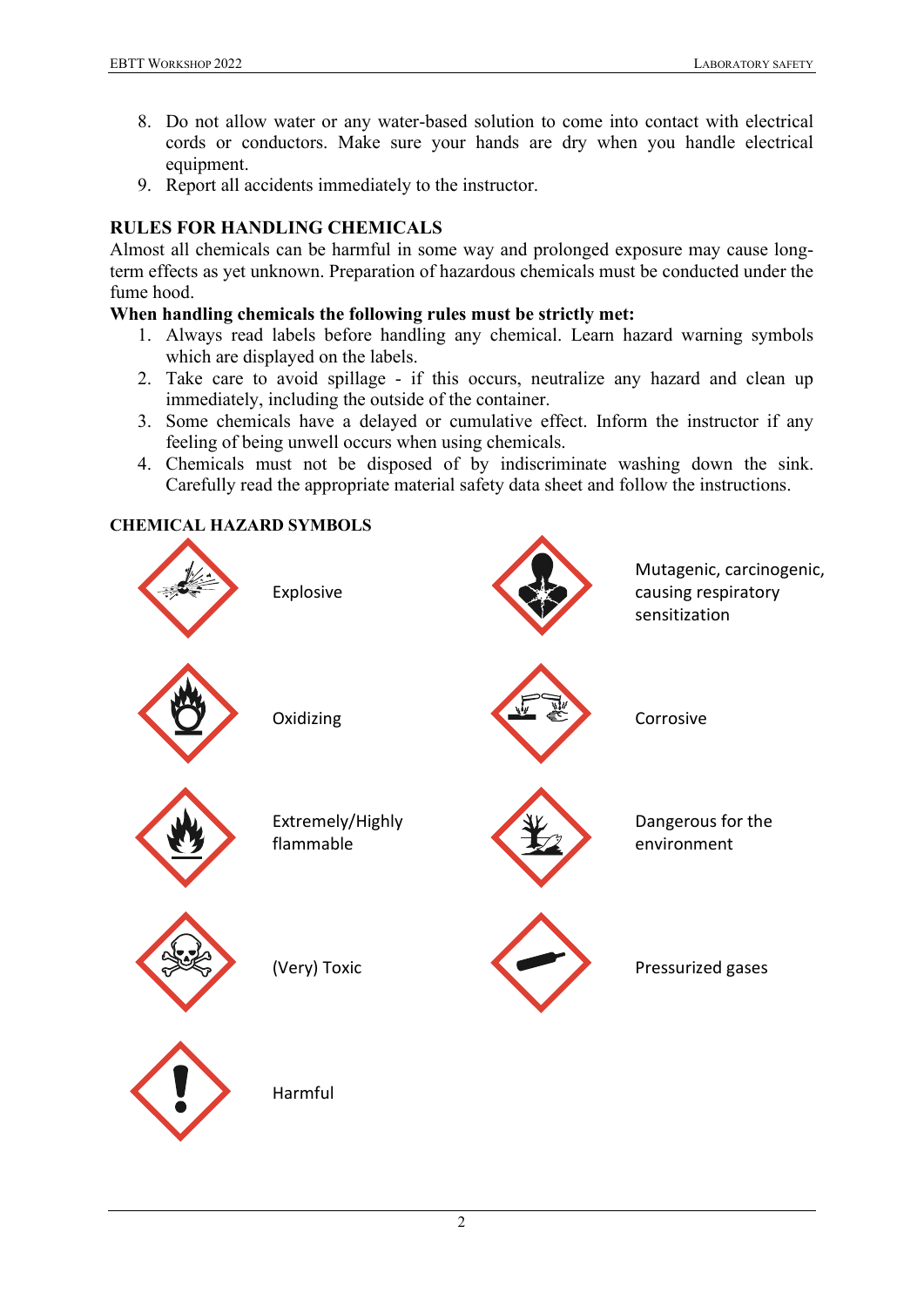- 8. Do not allow water or any water-based solution to come into contact with electrical cords or conductors. Make sure your hands are dry when you handle electrical equipment.
- 9. Report all accidents immediately to the instructor.

# **RULES FOR HANDLING CHEMICALS**

Almost all chemicals can be harmful in some way and prolonged exposure may cause longterm effects as yet unknown. Preparation of hazardous chemicals must be conducted under the fume hood.

## **When handling chemicals the following rules must be strictly met:**

- 1. Always read labels before handling any chemical. Learn hazard warning symbols which are displayed on the labels.
- 2. Take care to avoid spillage if this occurs, neutralize any hazard and clean up immediately, including the outside of the container.
- 3. Some chemicals have a delayed or cumulative effect. Inform the instructor if any feeling of being unwell occurs when using chemicals.
- 4. Chemicals must not be disposed of by indiscriminate washing down the sink. Carefully read the appropriate material safety data sheet and follow the instructions.

## **CHEMICAL HAZARD SYMBOLS**

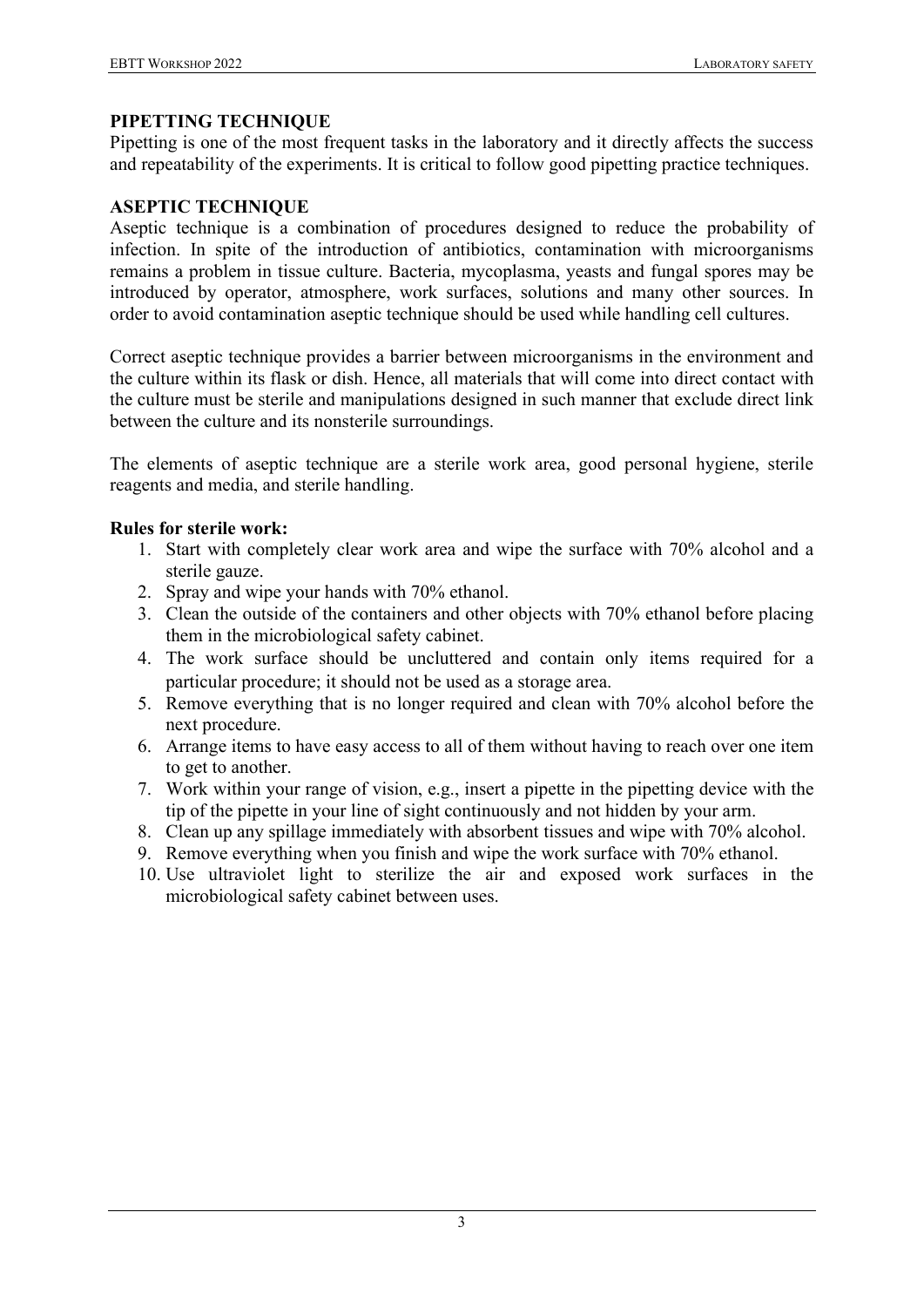## **PIPETTING TECHNIQUE**

Pipetting is one of the most frequent tasks in the laboratory and it directly affects the success and repeatability of the experiments. It is critical to follow good pipetting practice techniques.

#### **ASEPTIC TECHNIQUE**

Aseptic technique is a combination of procedures designed to reduce the probability of infection. In spite of the introduction of antibiotics, contamination with microorganisms remains a problem in tissue culture. Bacteria, mycoplasma, yeasts and fungal spores may be introduced by operator, atmosphere, work surfaces, solutions and many other sources. In order to avoid contamination aseptic technique should be used while handling cell cultures.

Correct aseptic technique provides a barrier between microorganisms in the environment and the culture within its flask or dish. Hence, all materials that will come into direct contact with the culture must be sterile and manipulations designed in such manner that exclude direct link between the culture and its nonsterile surroundings.

The elements of aseptic technique are a sterile work area, good personal hygiene, sterile reagents and media, and sterile handling.

#### **Rules for sterile work:**

- 1. Start with completely clear work area and wipe the surface with 70% alcohol and a sterile gauze.
- 2. Spray and wipe your hands with 70% ethanol.
- 3. Clean the outside of the containers and other objects with 70% ethanol before placing them in the microbiological safety cabinet.
- 4. The work surface should be uncluttered and contain only items required for a particular procedure; it should not be used as a storage area.
- 5. Remove everything that is no longer required and clean with 70% alcohol before the next procedure.
- 6. Arrange items to have easy access to all of them without having to reach over one item to get to another.
- 7. Work within your range of vision, e.g., insert a pipette in the pipetting device with the tip of the pipette in your line of sight continuously and not hidden by your arm.
- 8. Clean up any spillage immediately with absorbent tissues and wipe with 70% alcohol.
- 9. Remove everything when you finish and wipe the work surface with 70% ethanol.
- 10. Use ultraviolet light to sterilize the air and exposed work surfaces in the microbiological safety cabinet between uses.